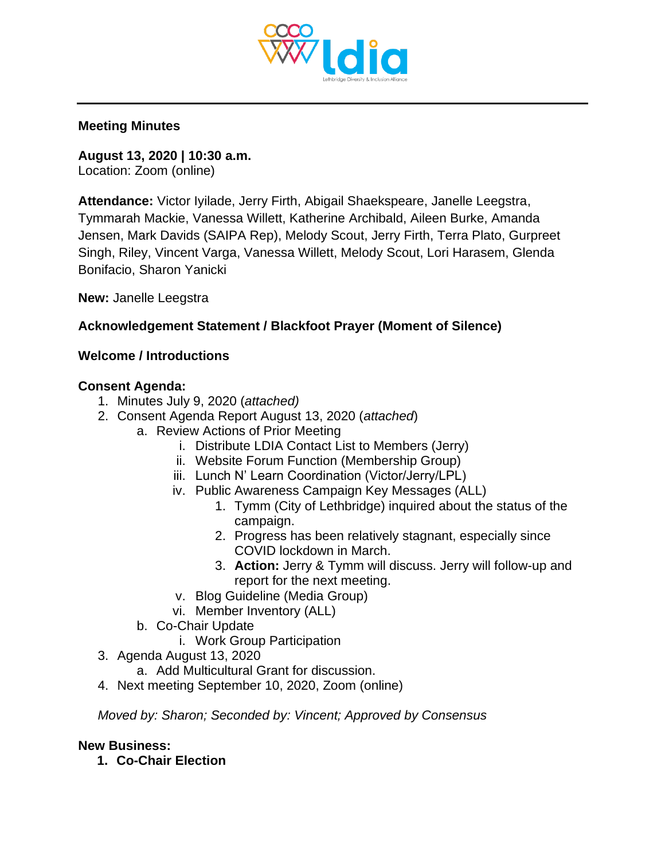

#### **Meeting Minutes**

**August 13, 2020 | 10:30 a.m.** Location: Zoom (online)

**Attendance:** Victor Iyilade, Jerry Firth, Abigail Shaekspeare, Janelle Leegstra, Tymmarah Mackie, Vanessa Willett, Katherine Archibald, Aileen Burke, Amanda Jensen, Mark Davids (SAIPA Rep), Melody Scout, Jerry Firth, Terra Plato, Gurpreet Singh, Riley, Vincent Varga, Vanessa Willett, Melody Scout, Lori Harasem, Glenda Bonifacio, Sharon Yanicki

**New:** Janelle Leegstra

# **Acknowledgement Statement / Blackfoot Prayer (Moment of Silence)**

#### **Welcome / Introductions**

#### **Consent Agenda:**

- 1. Minutes July 9, 2020 (*attached)*
- 2. Consent Agenda Report August 13, 2020 (*attached*)
	- a. Review Actions of Prior Meeting
		- i. Distribute LDIA Contact List to Members (Jerry)
		- ii. Website Forum Function (Membership Group)
		- iii. Lunch N' Learn Coordination (Victor/Jerry/LPL)
		- iv. Public Awareness Campaign Key Messages (ALL)
			- 1. Tymm (City of Lethbridge) inquired about the status of the campaign.
			- 2. Progress has been relatively stagnant, especially since COVID lockdown in March.
			- 3. **Action:** Jerry & Tymm will discuss. Jerry will follow-up and report for the next meeting.
		- v. Blog Guideline (Media Group)
		- vi. Member Inventory (ALL)
	- b. Co-Chair Update
		- i. Work Group Participation
- 3. Agenda August 13, 2020
	- a. Add Multicultural Grant for discussion.
- 4. Next meeting September 10, 2020, Zoom (online)

*Moved by: Sharon; Seconded by: Vincent; Approved by Consensus* 

# **New Business:**

**1. Co-Chair Election**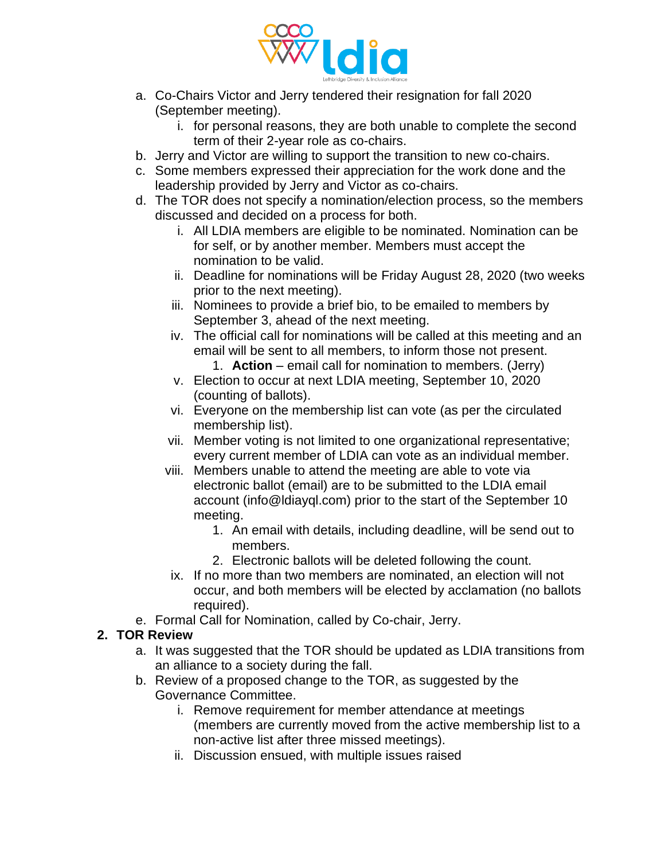

- a. Co-Chairs Victor and Jerry tendered their resignation for fall 2020 (September meeting).
	- i. for personal reasons, they are both unable to complete the second term of their 2-year role as co-chairs.
- b. Jerry and Victor are willing to support the transition to new co-chairs.
- c. Some members expressed their appreciation for the work done and the leadership provided by Jerry and Victor as co-chairs.
- d. The TOR does not specify a nomination/election process, so the members discussed and decided on a process for both.
	- i. All LDIA members are eligible to be nominated. Nomination can be for self, or by another member. Members must accept the nomination to be valid.
	- ii. Deadline for nominations will be Friday August 28, 2020 (two weeks prior to the next meeting).
	- iii. Nominees to provide a brief bio, to be emailed to members by September 3, ahead of the next meeting.
	- iv. The official call for nominations will be called at this meeting and an email will be sent to all members, to inform those not present.
		- 1. **Action** email call for nomination to members. (Jerry)
	- v. Election to occur at next LDIA meeting, September 10, 2020 (counting of ballots).
	- vi. Everyone on the membership list can vote (as per the circulated membership list).
	- vii. Member voting is not limited to one organizational representative; every current member of LDIA can vote as an individual member.
	- viii. Members unable to attend the meeting are able to vote via electronic ballot (email) are to be submitted to the LDIA email account (info@ldiayql.com) prior to the start of the September 10 meeting.
		- 1. An email with details, including deadline, will be send out to members.
		- 2. Electronic ballots will be deleted following the count.
	- ix. If no more than two members are nominated, an election will not occur, and both members will be elected by acclamation (no ballots required).
- e. Formal Call for Nomination, called by Co-chair, Jerry.

# **2. TOR Review**

- a. It was suggested that the TOR should be updated as LDIA transitions from an alliance to a society during the fall.
- b. Review of a proposed change to the TOR, as suggested by the Governance Committee.
	- i. Remove requirement for member attendance at meetings (members are currently moved from the active membership list to a non-active list after three missed meetings).
	- ii. Discussion ensued, with multiple issues raised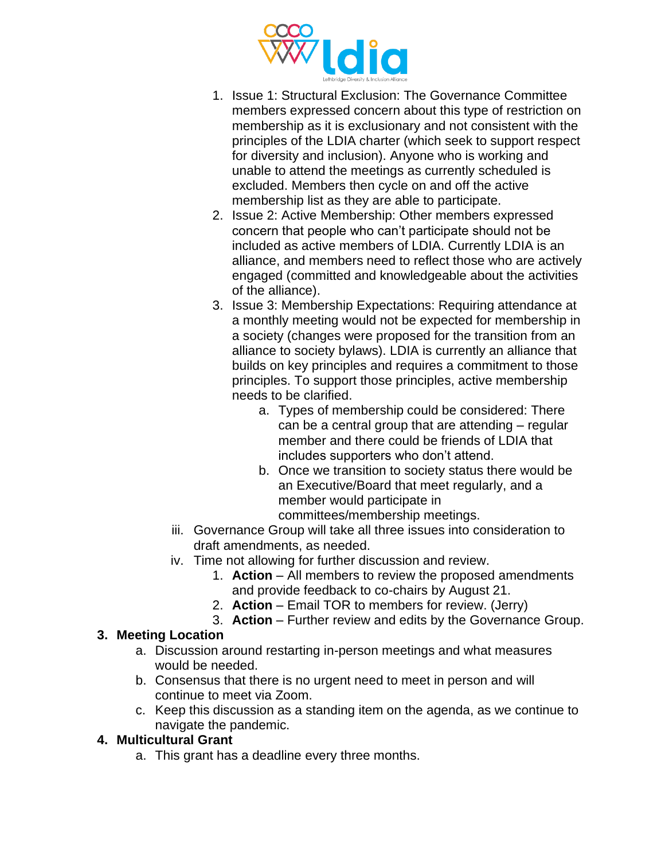

- 1. Issue 1: Structural Exclusion: The Governance Committee members expressed concern about this type of restriction on membership as it is exclusionary and not consistent with the principles of the LDIA charter (which seek to support respect for diversity and inclusion). Anyone who is working and unable to attend the meetings as currently scheduled is excluded. Members then cycle on and off the active membership list as they are able to participate.
- 2. Issue 2: Active Membership: Other members expressed concern that people who can't participate should not be included as active members of LDIA. Currently LDIA is an alliance, and members need to reflect those who are actively engaged (committed and knowledgeable about the activities of the alliance).
- 3. Issue 3: Membership Expectations: Requiring attendance at a monthly meeting would not be expected for membership in a society (changes were proposed for the transition from an alliance to society bylaws). LDIA is currently an alliance that builds on key principles and requires a commitment to those principles. To support those principles, active membership needs to be clarified.
	- a. Types of membership could be considered: There can be a central group that are attending – regular member and there could be friends of LDIA that includes supporters who don't attend.
	- b. Once we transition to society status there would be an Executive/Board that meet regularly, and a member would participate in
		- committees/membership meetings.
- iii. Governance Group will take all three issues into consideration to draft amendments, as needed.
- iv. Time not allowing for further discussion and review.
	- 1. **Action**  All members to review the proposed amendments and provide feedback to co-chairs by August 21.
	- 2. **Action**  Email TOR to members for review. (Jerry)
	- 3. **Action** Further review and edits by the Governance Group.

# **3. Meeting Location**

- a. Discussion around restarting in-person meetings and what measures would be needed.
- b. Consensus that there is no urgent need to meet in person and will continue to meet via Zoom.
- c. Keep this discussion as a standing item on the agenda, as we continue to navigate the pandemic.

# **4. Multicultural Grant**

a. This grant has a deadline every three months.